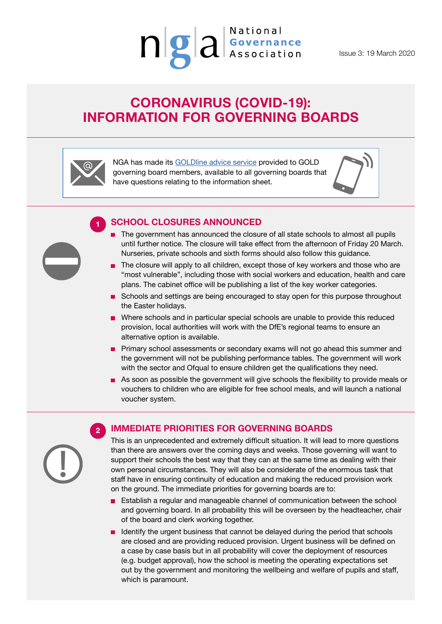

Issue 3: 19 March 2020

# **CORONAVIRUS (COVID-19): INFORMATION FOR GOVERNING BOARDS**



**1**

NGA has made its [GOLDline advice service](https://www.nga.org.uk/Membership/GOLDline-The-NGA-Advice-service.aspx) provided to GOLD governing board members, available to all governing boards that have questions relating to the information sheet.



### **SCHOOL CLOSURES ANNOUNCED**

- **The government has announced the closure of all state schools to almost all pupils** until further notice. The closure will take effect from the afternoon of Friday 20 March. Nurseries, private schools and sixth forms should also follow this guidance.
- $\blacksquare$  The closure will apply to all children, except those of key workers and those who are "most vulnerable", including those with social workers and education, health and care plans. The cabinet office will be publishing a list of the key worker categories.
- Schools and settings are being encouraged to stay open for this purpose throughout the Easter holidays.
- **Number** Schools and in particular special schools are unable to provide this reduced provision, local authorities will work with the DfE's regional teams to ensure an alternative option is available.
- **Primary school assessments or secondary exams will not go ahead this summer and** the government will not be publishing performance tables. The government will work with the sector and Ofqual to ensure children get the qualifications they need.
- As soon as possible the government will give schools the flexibility to provide meals or vouchers to children who are eligible for free school meals, and will launch a national voucher system.

**2**

# **IMMEDIATE PRIORITIES FOR GOVERNING BOARDS**

This is an unprecedented and extremely difficult situation. It will lead to more questions than there are answers over the coming days and weeks. Those governing will want to support their schools the best way that they can at the same time as dealing with their own personal circumstances. They will also be considerate of the enormous task that staff have in ensuring continuity of education and making the reduced provision work on the ground. The immediate priorities for governing boards are to:

- Establish a regular and manageable channel of communication between the school and governing board. In all probability this will be overseen by the headteacher, chair of the board and clerk working together.
- I Identify the urgent business that cannot be delayed during the period that schools are closed and are providing reduced provision. Urgent business will be defined on a case by case basis but in all probability will cover the deployment of resources (e.g. budget approval), how the school is meeting the operating expectations set out by the government and monitoring the wellbeing and welfare of pupils and staff, which is paramount.